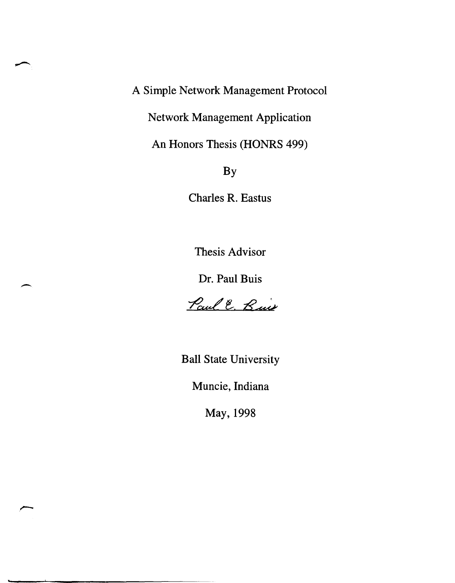A Simple Network Management Protocol

Network Management Application

An Honors Thesis (HONRS 499)

By

Charles R. Eastus

Thesis Advisor

Dr. Paul Buis

 $\overline{\phantom{0}}$ 

Paul E. Buis

Ball State University

Muncie, Indiana

May, 1998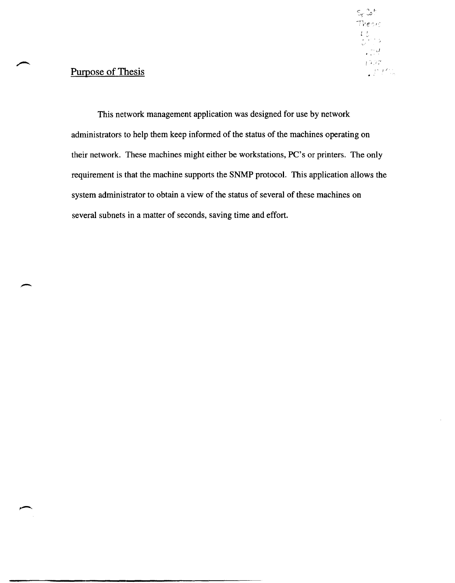# $\mathsf{S}_\xi$  lat Theors  $\begin{array}{l} L\,U\\[-1.5mm] U\,U\,U\,U\end{array}$  $\frac{1}{2}$  $\frac{1}{2}$

### Purpose of Thesis

This network management application was designed for use by network administrators to help them keep informed of the status of the machines operating on their network. These machines might either be workstations, PC's or printers. The only requirement is that the machine supports the SNMP protocol. This application allows the system administrator to obtain a view of the status of several of these machines on several subnets in a matter of seconds, saving time and effort.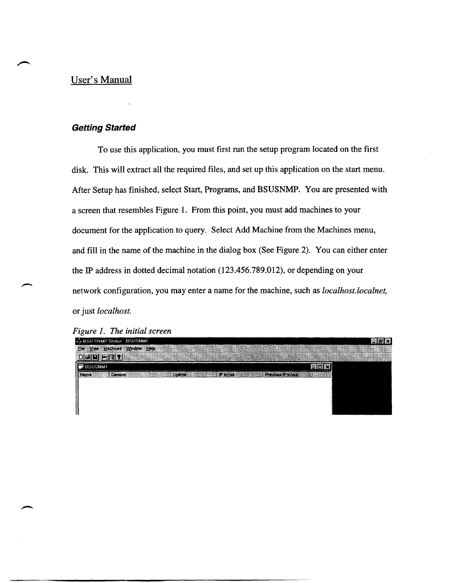### User's Manual

#### **Getting Started**

To use this application, you must first run the setup program located on the first disk. This will extract all the required files, and set up this application on the start menu. After Setup has finished, select Start, Programs, and BSUSNMP. You are presented with a screen that resembles Figure 1. From this point, you must add machines to your document for the application to query. Select Add Machine from the Machines menu, and fill in the name of the machine in the dialog box (See Figure 2). You can either enter the IP address in dotted decimal notation (123.456.789.012), or depending on your network configuration, you may enter a name for the machine, such as *localhost.localnet,*  or just *localhost.* 

|  |  |  |  | Figure 1. The initial screen |
|--|--|--|--|------------------------------|
|--|--|--|--|------------------------------|

| 4- BSU SNMP Status BSUSNMT                                                    | 国の文 |
|-------------------------------------------------------------------------------|-----|
| Ele Yiew Machines Window Help<br><b>START CONTROL CONTROL SERIES IN CAR</b>   |     |
| $\mathbf{L}$ $\mathbf{H}$ $\bullet$                                           |     |
| <b>B</b> BSUSNMT                                                              |     |
| $P$ <i>in/out</i><br><b>Previous IP In/out</b><br>General<br>  Name<br>Uptime |     |
|                                                                               |     |
|                                                                               |     |
|                                                                               |     |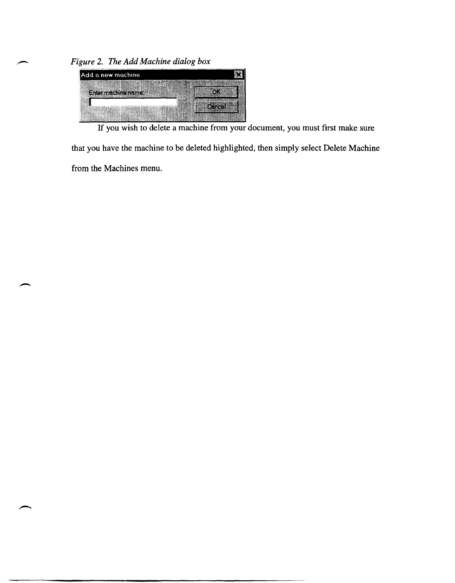*Figure* 2. *The Add Machine dialog box* 



If you wish to delete a machine from your document, you must first make sure

that you have the machine to be deleted highlighted, then simply select Delete Machine

from the Machines menu.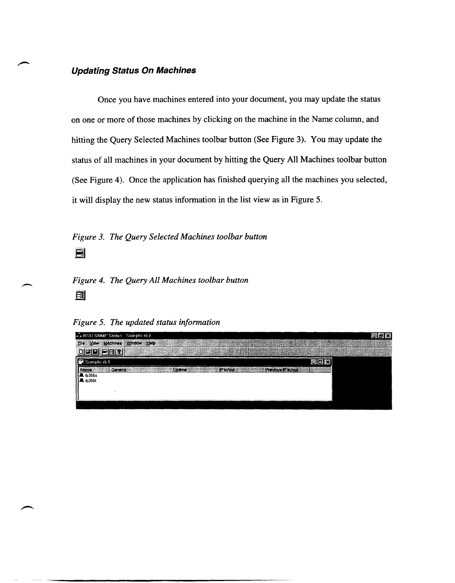#### **Updating Status On Machines**

Once you have machines entered into your document, you may update the status on one or more of those machines by clicking on the machine in the Name column, and hitting the Query Selected Machines toolbar button (See Figure 3). You may update the status of all machines in your document by hitting the Query All Machines toolbar button (See Figure 4). Once the application has finished querying all the machines you selected, it will display the new status information in the list view as in Figure 5.

*Figure* 3. *The Query Selected Machines toolbar button* 

 $\blacksquare$ 

## - *Figure* 4. *The Query All Machines toolbar button*  §J

*Figure* 5. *The updated status information* 

| F BSU SNMP Status Sample rb3                                                                                        | 関わな |  |
|---------------------------------------------------------------------------------------------------------------------|-----|--|
| Eile Yiew Machines Window Help                                                                                      |     |  |
| $C1$ $Q1$                                                                                                           |     |  |
| (Sample rb3                                                                                                         |     |  |
| Previous IP in/out<br>Name<br>General<br>Unlima<br>IP in/out                                                        |     |  |
| <b>風</b> 市356s                                                                                                      |     |  |
|                                                                                                                     |     |  |
|                                                                                                                     |     |  |
| . TV de dik op en ret ret red dik dite from general til dik dander mannes munditels er nar ser manneske presente me |     |  |
|                                                                                                                     |     |  |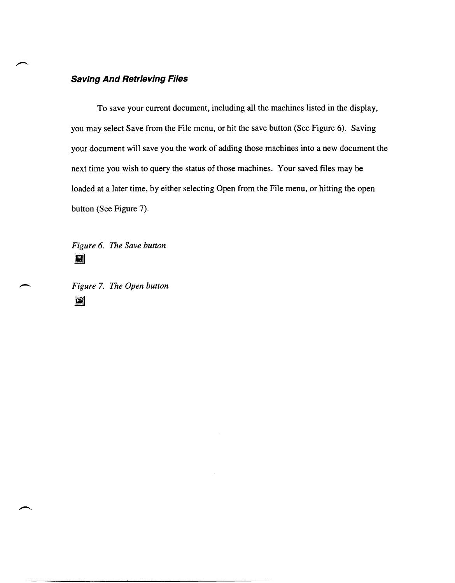#### **Saving And Retrieving Files**

To save your current document, including all the machines listed in the display, you may select Save from the File menu, or hit the save button (See Figure 6). Saving your document will save you the work of adding those machines into a new document the next time you wish to query the status of those machines. Your saved files may be loaded at a later time, by either selecting Open from the File menu, or hitting the open button (See Figure 7).

*Figure* 6. *The Save button*  III

*Figure* 7. *The Open button*  iii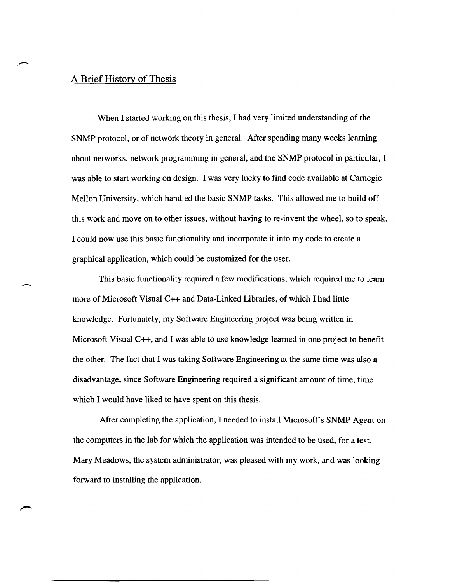#### A Brief History of Thesis

When I started working on this thesis, I had very limited understanding of the SNMP protocol, or of network theory in general. After spending many weeks learning about networks, network programming in general, and the SNMP protocol in particular, I was able to start working on design. I was very lucky to find code available at Carnegie Mellon University, which handled the basic SNMP tasks. This allowed me to build off this work and move on to other issues, without having to re-invent the wheel, so to speak. I could now use this basic functionality and incorporate it into my code to create a graphical application, which could be customized for the user.

This basic functionality required a few modifications, which required me to learn more of Microsoft Visual C++ and Data-Linked Libraries, of which I had little knowledge. Fortunately, my Software Engineering project was being written in Microsoft Visual C++, and I was able to use knowledge learned in one project to benefit the other. The fact that I was taking Software Engineering at the same time was also a disadvantage, since Software Engineering required a significant amount of time, time which I would have liked to have spent on this thesis.

After completing the application, I needed to install Microsoft's SNMP Agent on the computers in the lab for which the application was intended to be used, for a test. Mary Meadows, the system administrator, was pleased with my work, and was looking forward to installing the application.